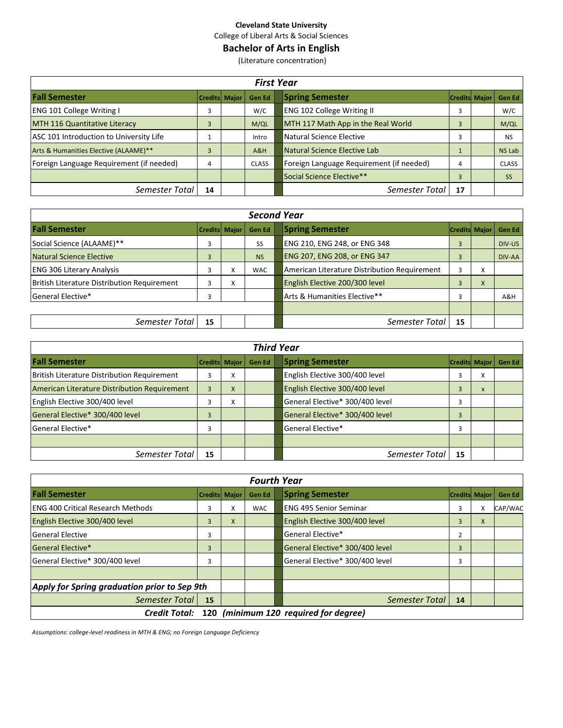College of Liberal Arts & Social Sciences

# **Bachelor of Arts in English**

(Literature concentration)

|                                          | <b>First Year</b>    |  |              |                                                |               |  |  |  |  |  |  |  |  |  |
|------------------------------------------|----------------------|--|--------------|------------------------------------------------|---------------|--|--|--|--|--|--|--|--|--|
| <b>Fall Semester</b>                     | <b>Credits Major</b> |  | Gen Ed       | <b>Spring Semester</b><br><b>Credits Major</b> | Gen Ed        |  |  |  |  |  |  |  |  |  |
| <b>ENG 101 College Writing I</b>         |                      |  | W/C          | <b>ENG 102 College Writing II</b><br>3         | W/C           |  |  |  |  |  |  |  |  |  |
| MTH 116 Quantitative Literacy            |                      |  | M/QL         | MTH 117 Math App in the Real World<br>3        | M/QL          |  |  |  |  |  |  |  |  |  |
| ASC 101 Introduction to University Life  |                      |  | Intro        | Natural Science Elective<br>3                  | <b>NS</b>     |  |  |  |  |  |  |  |  |  |
| Arts & Humanities Elective (ALAAME)**    | 3                    |  | A&H          | Natural Science Elective Lab                   | <b>NS Lab</b> |  |  |  |  |  |  |  |  |  |
| Foreign Language Requirement (if needed) | 4                    |  | <b>CLASS</b> | Foreign Language Requirement (if needed)<br>4  | <b>CLASS</b>  |  |  |  |  |  |  |  |  |  |
|                                          |                      |  |              | Social Science Elective**<br>3                 | <b>SS</b>     |  |  |  |  |  |  |  |  |  |
| Semester Total                           | 14                   |  |              | Semester Total<br>17                           |               |  |  |  |  |  |  |  |  |  |

|                                             |                      |   |               | <b>Second Year</b> |                                              |                      |   |               |  |  |
|---------------------------------------------|----------------------|---|---------------|--------------------|----------------------------------------------|----------------------|---|---------------|--|--|
| <b>Fall Semester</b>                        | <b>Credits Major</b> |   | <b>Gen Ed</b> |                    | <b>Spring Semester</b>                       | <b>Credits Major</b> |   | <b>Gen Ed</b> |  |  |
| Social Science (ALAAME)**                   | 3                    |   | SS            |                    | ENG 210, ENG 248, or ENG 348                 | 3                    |   | DIV-US        |  |  |
| Natural Science Elective                    | 3                    |   | <b>NS</b>     |                    | ENG 207, ENG 208, or ENG 347                 | 3                    |   | DIV-AA        |  |  |
| <b>ENG 306 Literary Analysis</b>            | 3                    | x | <b>WAC</b>    |                    | American Literature Distribution Requirement | 3                    | x |               |  |  |
| British Literature Distribution Requirement | 3                    | X |               |                    | English Elective 200/300 level               | 3                    | X |               |  |  |
| General Elective*                           |                      |   |               |                    | Arts & Humanities Elective**                 | 3                    |   | A&H           |  |  |
|                                             |                      |   |               |                    |                                              |                      |   |               |  |  |
| Semester Total                              | 15                   |   |               |                    | Semester Total                               | 15                   |   |               |  |  |

|                                              | <b>Third Year</b>    |           |        |  |                                 |    |                           |               |  |  |  |  |  |
|----------------------------------------------|----------------------|-----------|--------|--|---------------------------------|----|---------------------------|---------------|--|--|--|--|--|
| <b>Fall Semester</b>                         | <b>Credits Major</b> |           | Gen Ed |  | <b>Spring Semester</b>          |    | <b>Credits Major</b>      | <b>Gen Ed</b> |  |  |  |  |  |
| British Literature Distribution Requirement  | 3                    | x         |        |  | English Elective 300/400 level  | 3  | X                         |               |  |  |  |  |  |
| American Literature Distribution Requirement | 3                    | X         |        |  | English Elective 300/400 level  | 3  | $\boldsymbol{\mathsf{x}}$ |               |  |  |  |  |  |
| English Elective 300/400 level               |                      | $\lambda$ |        |  | General Elective* 300/400 level | 3  |                           |               |  |  |  |  |  |
| General Elective* 300/400 level              | 3                    |           |        |  | General Elective* 300/400 level | 3  |                           |               |  |  |  |  |  |
| <b>General Elective*</b>                     | 3                    |           |        |  | General Elective*               | 3  |                           |               |  |  |  |  |  |
|                                              |                      |           |        |  |                                 |    |                           |               |  |  |  |  |  |
| Semester Total                               | 15                   |           |        |  | Semester Total                  | 15 |                           |               |  |  |  |  |  |

|                                              |                      |   | <b>Fourth Year</b> |                                   |                      |   |         |
|----------------------------------------------|----------------------|---|--------------------|-----------------------------------|----------------------|---|---------|
| <b>Fall Semester</b>                         | <b>Credits Major</b> |   | <b>Gen Ed</b>      | <b>Spring Semester</b>            | <b>Credits Major</b> |   | Gen Ed  |
| <b>IENG 400 Critical Research Methods</b>    | 3                    | x | <b>WAC</b>         | <b>ENG 495 Senior Seminar</b>     | 3                    | X | CAP/WAC |
| English Elective 300/400 level               | 3                    | X |                    | English Elective 300/400 level    | 3                    | X |         |
| <b>General Elective</b>                      | 3                    |   |                    | General Elective*                 | 2                    |   |         |
| General Elective*                            | 3                    |   |                    | General Elective* 300/400 level   | 3                    |   |         |
| General Elective* 300/400 level              | 3                    |   |                    | General Elective* 300/400 level   | 3                    |   |         |
|                                              |                      |   |                    |                                   |                      |   |         |
| Apply for Spring graduation prior to Sep 9th |                      |   |                    |                                   |                      |   |         |
| Semester Total                               | 15                   |   |                    | Semester Total                    | 14                   |   |         |
| <b>Credit Total:</b>                         | 120                  |   |                    | (minimum 120 required for degree) |                      |   |         |

*Assumptions: college-level readiness in MTH & ENG; no Foreign Language Deficiency*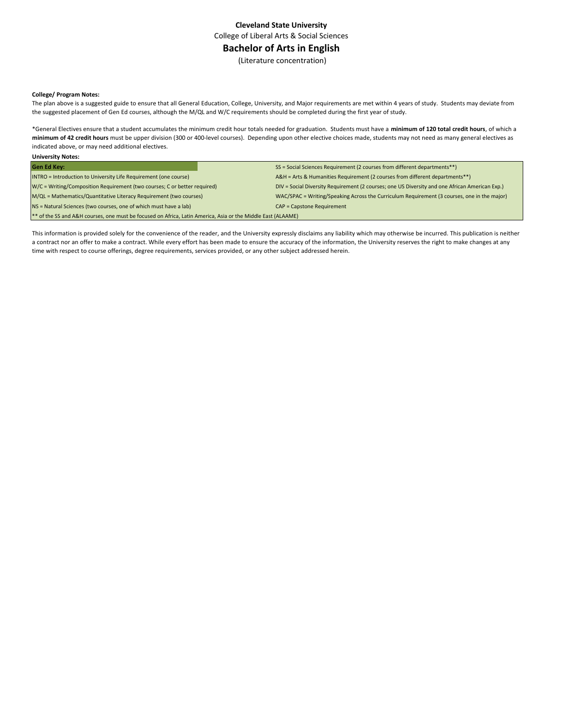College of Liberal Arts & Social Sciences

## **Bachelor of Arts in English**

(Literature concentration)

#### **College/ Program Notes:**

**University Notes:**

The plan above is a suggested guide to ensure that all General Education, College, University, and Major requirements are met within 4 years of study. Students may deviate from the suggested placement of Gen Ed courses, although the M/QL and W/C requirements should be completed during the first year of study.

\*General Electives ensure that a student accumulates the minimum credit hour totals needed for graduation. Students must have a **minimum of 120 total credit hours**, of which a **minimum of 42 credit hours** must be upper division (300 or 400-level courses). Depending upon other elective choices made, students may not need as many general electives as indicated above, or may need additional electives.

| <b>PHILAPHALAILLA</b>                                                                                        |                                                                                                |  |  |  |  |  |  |
|--------------------------------------------------------------------------------------------------------------|------------------------------------------------------------------------------------------------|--|--|--|--|--|--|
| <b>Gen Ed Key:</b>                                                                                           | SS = Social Sciences Requirement (2 courses from different departments**)                      |  |  |  |  |  |  |
| INTRO = Introduction to University Life Requirement (one course)                                             | A&H = Arts & Humanities Requirement (2 courses from different departments**)                   |  |  |  |  |  |  |
| W/C = Writing/Composition Requirement (two courses; C or better required)                                    | DIV = Social Diversity Requirement (2 courses; one US Diversity and one African American Exp.) |  |  |  |  |  |  |
| M/QL = Mathematics/Quantitative Literacy Requirement (two courses)                                           | WAC/SPAC = Writing/Speaking Across the Curriculum Requirement (3 courses, one in the major)    |  |  |  |  |  |  |
| NS = Natural Sciences (two courses, one of which must have a lab)                                            | <b>CAP = Capstone Requirement</b>                                                              |  |  |  |  |  |  |
| ** of the SS and A&H courses, one must be focused on Africa, Latin America, Asia or the Middle East (ALAAME) |                                                                                                |  |  |  |  |  |  |

This information is provided solely for the convenience of the reader, and the University expressly disclaims any liability which may otherwise be incurred. This publication is neither a contract nor an offer to make a contract. While every effort has been made to ensure the accuracy of the information, the University reserves the right to make changes at any time with respect to course offerings, degree requirements, services provided, or any other subject addressed herein.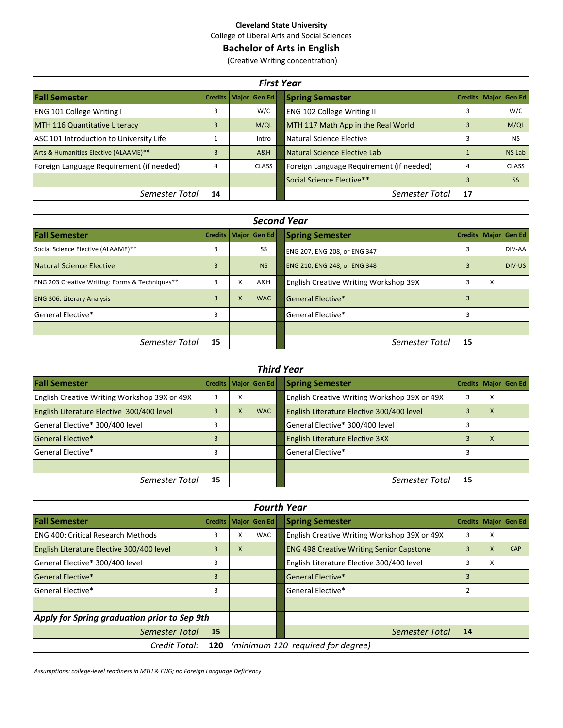College of Liberal Arts and Social Sciences

# **Bachelor of Arts in English**

(Creative Writing concentration)

|                                          | <b>First Year</b> |  |                          |  |                                          |    |  |                          |  |  |  |  |  |
|------------------------------------------|-------------------|--|--------------------------|--|------------------------------------------|----|--|--------------------------|--|--|--|--|--|
| <b>Fall Semester</b>                     |                   |  | Credits   Major   Gen Ed |  | <b>Spring Semester</b>                   |    |  | Credits   Major   Gen Ed |  |  |  |  |  |
| <b>ENG 101 College Writing I</b>         | 3                 |  | W/C                      |  | ENG 102 College Writing II               | 3  |  | W/C                      |  |  |  |  |  |
| MTH 116 Quantitative Literacy            |                   |  | M/QL                     |  | MTH 117 Math App in the Real World       | 3  |  | M/QL                     |  |  |  |  |  |
| ASC 101 Introduction to University Life  |                   |  | Intro                    |  | Natural Science Elective                 | 3  |  | <b>NS</b>                |  |  |  |  |  |
| Arts & Humanities Elective (ALAAME)**    |                   |  | A&H                      |  | Natural Science Elective Lab             |    |  | <b>NS Lab</b>            |  |  |  |  |  |
| Foreign Language Requirement (if needed) | 4                 |  | <b>CLASS</b>             |  | Foreign Language Requirement (if needed) | 4  |  | <b>CLASS</b>             |  |  |  |  |  |
|                                          |                   |  |                          |  | Social Science Elective**                | 3  |  | <b>SS</b>                |  |  |  |  |  |
| Semester Total                           | 14                |  |                          |  | Semester Total                           | 17 |  |                          |  |  |  |  |  |

| <b>Second Year</b>                                        |                |   |                          |                                                    |        |  |  |  |  |  |  |  |  |  |
|-----------------------------------------------------------|----------------|---|--------------------------|----------------------------------------------------|--------|--|--|--|--|--|--|--|--|--|
| <b>Fall Semester</b>                                      |                |   | Credits   Major   Gen Ed | <b>Spring Semester</b><br>Credits   Major   Gen Ed |        |  |  |  |  |  |  |  |  |  |
| Social Science Elective (ALAAME)**                        | 3              |   | SS                       | 3<br>ENG 207, ENG 208, or ENG 347                  | DIV-AA |  |  |  |  |  |  |  |  |  |
| Natural Science Elective                                  | 3              |   | <b>NS</b>                | <b>ENG 210, ENG 248, or ENG 348</b><br>3           | DIV-US |  |  |  |  |  |  |  |  |  |
| <b>ENG 203 Creative Writing: Forms &amp; Techniques**</b> | 3              | X | A&H                      | <b>English Creative Writing Workshop 39X</b><br>X  |        |  |  |  |  |  |  |  |  |  |
| <b>ENG 306: Literary Analysis</b>                         | $\overline{3}$ | X | <b>WAC</b>               | <b>General Elective*</b><br>$\overline{3}$         |        |  |  |  |  |  |  |  |  |  |
| General Elective*                                         | 3              |   |                          | 3<br>General Elective*                             |        |  |  |  |  |  |  |  |  |  |
|                                                           |                |   |                          |                                                    |        |  |  |  |  |  |  |  |  |  |
| Semester Total                                            | 15             |   |                          | 15<br>Semester Total                               |        |  |  |  |  |  |  |  |  |  |

| <b>Third Year</b>                            |    |   |                          |                                                        |  |  |  |  |  |  |  |  |
|----------------------------------------------|----|---|--------------------------|--------------------------------------------------------|--|--|--|--|--|--|--|--|
| <b>Fall Semester</b>                         |    |   | Credits   Major   Gen Ed | <b>Spring Semester</b><br>Credits   Major Gen Ed       |  |  |  |  |  |  |  |  |
| English Creative Writing Workshop 39X or 49X | 3  | х |                          | English Creative Writing Workshop 39X or 49X<br>3<br>x |  |  |  |  |  |  |  |  |
| English Literature Elective 300/400 level    | 3  | X | <b>WAC</b>               | English Literature Elective 300/400 level<br>X         |  |  |  |  |  |  |  |  |
| General Elective* 300/400 level              | 3  |   |                          | General Elective* 300/400 level<br>3                   |  |  |  |  |  |  |  |  |
| <b>General Elective*</b>                     | 3  |   |                          | English Literature Elective 3XX<br>3<br>$\mathsf{x}$   |  |  |  |  |  |  |  |  |
| General Elective*                            | 3  |   |                          | General Elective*<br>3                                 |  |  |  |  |  |  |  |  |
|                                              |    |   |                          |                                                        |  |  |  |  |  |  |  |  |
| Semester Total                               | 15 |   |                          | Semester Total<br>15                                   |  |  |  |  |  |  |  |  |

|                                              | <b>Fourth Year</b> |   |                          |  |                                                 |                |   |                          |  |  |  |  |  |  |
|----------------------------------------------|--------------------|---|--------------------------|--|-------------------------------------------------|----------------|---|--------------------------|--|--|--|--|--|--|
| <b>Fall Semester</b>                         |                    |   | Credits   Major   Gen Ed |  | <b>Spring Semester</b>                          |                |   | Credits   Major   Gen Ed |  |  |  |  |  |  |
| lENG 400: Critical Research Methods          | 3                  | X | <b>WAC</b>               |  | English Creative Writing Workshop 39X or 49X    | 3              | X |                          |  |  |  |  |  |  |
| English Literature Elective 300/400 level    | 3                  | X |                          |  | <b>ENG 498 Creative Writing Senior Capstone</b> | 3              | X | <b>CAP</b>               |  |  |  |  |  |  |
| General Elective* 300/400 level              | 3                  |   |                          |  | English Literature Elective 300/400 level       | 3              | x |                          |  |  |  |  |  |  |
| General Elective*                            | 3                  |   |                          |  | General Elective*                               | 3              |   |                          |  |  |  |  |  |  |
| General Elective*                            | 3                  |   |                          |  | General Elective*                               | $\overline{2}$ |   |                          |  |  |  |  |  |  |
|                                              |                    |   |                          |  |                                                 |                |   |                          |  |  |  |  |  |  |
| Apply for Spring graduation prior to Sep 9th |                    |   |                          |  |                                                 |                |   |                          |  |  |  |  |  |  |
| Semester Total                               | 15                 |   |                          |  | Semester Total                                  | 14             |   |                          |  |  |  |  |  |  |
| Credit Total:                                | 120                |   |                          |  | (minimum 120 required for degree)               |                |   |                          |  |  |  |  |  |  |

*Assumptions: college-level readiness in MTH & ENG; no Foreign Language Deficiency*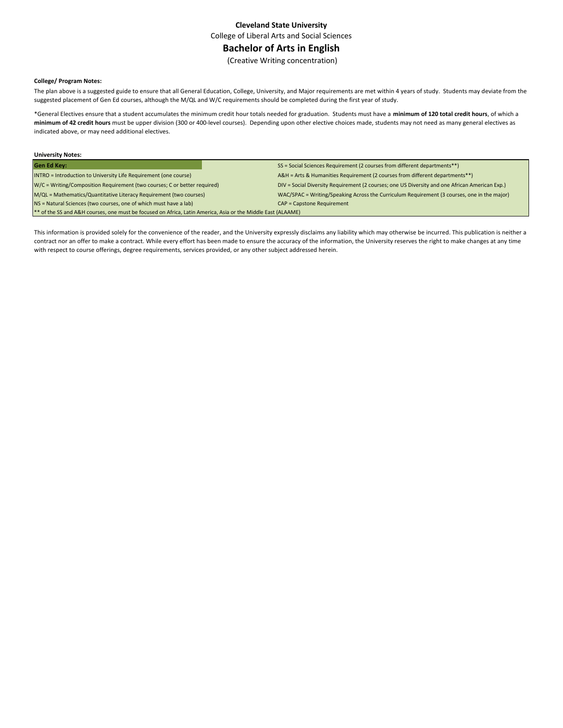College of Liberal Arts and Social Sciences

# **Bachelor of Arts in English**

(Creative Writing concentration)

### **College/ Program Notes:**

The plan above is a suggested guide to ensure that all General Education, College, University, and Major requirements are met within 4 years of study. Students may deviate from the suggested placement of Gen Ed courses, although the M/QL and W/C requirements should be completed during the first year of study.

\*General Electives ensure that a student accumulates the minimum credit hour totals needed for graduation. Students must have a **minimum of 120 total credit hours**, of which a **minimum of 42 credit hours** must be upper division (300 or 400-level courses). Depending upon other elective choices made, students may not need as many general electives as indicated above, or may need additional electives.

| <b>University Notes:</b>                                                                                     |                                                                                                |  |  |  |  |  |  |
|--------------------------------------------------------------------------------------------------------------|------------------------------------------------------------------------------------------------|--|--|--|--|--|--|
| <b>Gen Ed Key:</b>                                                                                           | SS = Social Sciences Requirement (2 courses from different departments**)                      |  |  |  |  |  |  |
| INTRO = Introduction to University Life Requirement (one course)                                             | A&H = Arts & Humanities Requirement (2 courses from different departments**)                   |  |  |  |  |  |  |
| W/C = Writing/Composition Requirement (two courses; C or better required)                                    | DIV = Social Diversity Requirement (2 courses; one US Diversity and one African American Exp.) |  |  |  |  |  |  |
| M/QL = Mathematics/Quantitative Literacy Requirement (two courses)                                           | WAC/SPAC = Writing/Speaking Across the Curriculum Requirement (3 courses, one in the major)    |  |  |  |  |  |  |
| NS = Natural Sciences (two courses, one of which must have a lab)                                            | CAP = Capstone Requirement                                                                     |  |  |  |  |  |  |
| ** of the SS and A&H courses, one must be focused on Africa, Latin America, Asia or the Middle East (ALAAME) |                                                                                                |  |  |  |  |  |  |

This information is provided solely for the convenience of the reader, and the University expressly disclaims any liability which may otherwise be incurred. This publication is neither a contract nor an offer to make a contract. While every effort has been made to ensure the accuracy of the information, the University reserves the right to make changes at any time with respect to course offerings, degree requirements, services provided, or any other subject addressed herein.